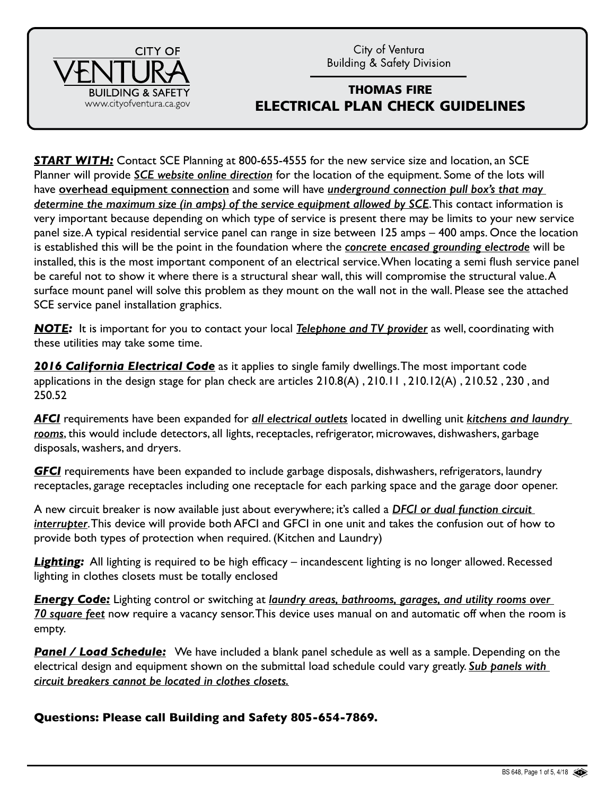City of Ventura **Building & Safety Division** 



## THOMAS FIRE ELECTRICAL PLAN CHECK GUIDELINES

**START WITH:** Contact SCE Planning at 800-655-4555 for the new service size and location, an SCE Planner will provide *SCE website online direction* for the location of the equipment. Some of the lots will have **overhead equipment connection** and some will have *underground connection pull box's that may determine the maximum size (in amps) of the service equipment allowed by SCE*. This contact information is very important because depending on which type of service is present there may be limits to your new service panel size. A typical residential service panel can range in size between 125 amps – 400 amps. Once the location is established this will be the point in the foundation where the *concrete encased grounding electrode* will be installed, this is the most important component of an electrical service. When locating a semi flush service panel be careful not to show it where there is a structural shear wall, this will compromise the structural value. A surface mount panel will solve this problem as they mount on the wall not in the wall. Please see the attached SCE service panel installation graphics.

*NOTE:* It is important for you to contact your local *Telephone and TV provider* as well, coordinating with these utilities may take some time.

**2016 California Electrical Code** as it applies to single family dwellings. The most important code applications in the design stage for plan check are articles 210.8(A) , 210.11 , 210.12(A) , 210.52 , 230 , and 250.52

*AFCI* requirements have been expanded for *all electrical outlets* located in dwelling unit *kitchens and laundry rooms*, this would include detectors, all lights, receptacles, refrigerator, microwaves, dishwashers, garbage disposals, washers, and dryers.

*GFCI* requirements have been expanded to include garbage disposals, dishwashers, refrigerators, laundry receptacles, garage receptacles including one receptacle for each parking space and the garage door opener.

A new circuit breaker is now available just about everywhere; it's called a *DFCI or dual function circuit interrupter*. This device will provide both AFCI and GFCI in one unit and takes the confusion out of how to provide both types of protection when required. (Kitchen and Laundry)

*Lighting:* All lighting is required to be high efficacy – incandescent lighting is no longer allowed. Recessed lighting in clothes closets must be totally enclosed

*Energy Code:* Lighting control or switching at *laundry areas, bathrooms, garages, and utility rooms over 70 square feet* now require a vacancy sensor. This device uses manual on and automatic off when the room is empty.

**Panel / Load Schedule:** We have included a blank panel schedule as well as a sample. Depending on the electrical design and equipment shown on the submittal load schedule could vary greatly. *Sub panels with circuit breakers cannot be located in clothes closets.*

**Questions: Please call Building and Safety 805-654-7869.**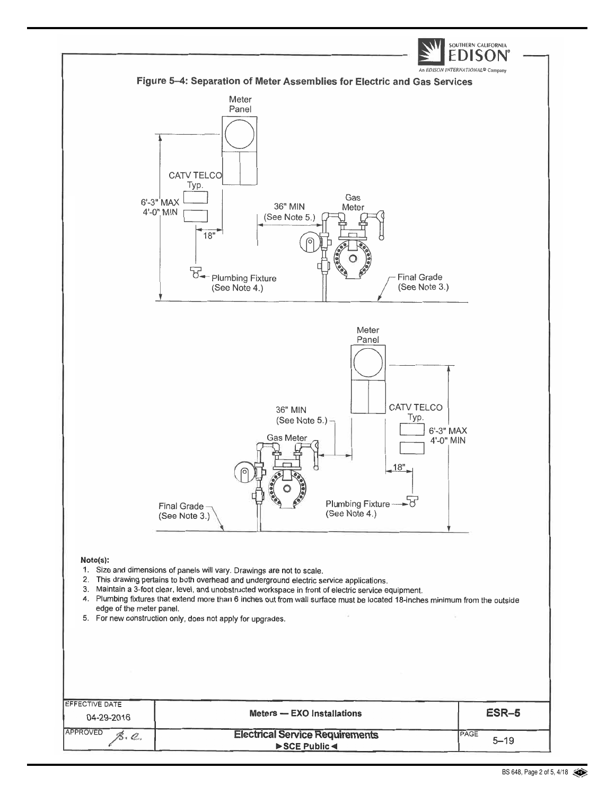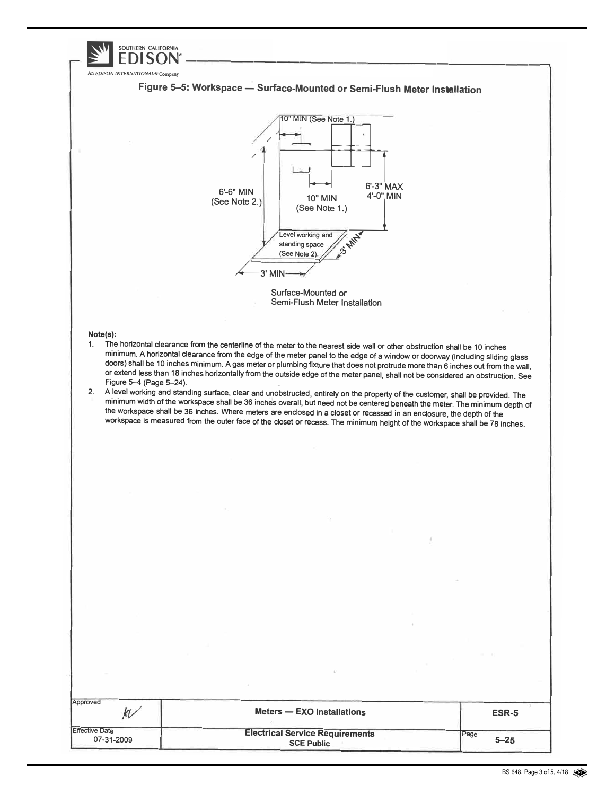|                                              | SOUTHERN CALIFORNIA                                                                                                                                                                                                                                                                                                                                                                                                                                                                                                  |                                                                                                                                  |
|----------------------------------------------|----------------------------------------------------------------------------------------------------------------------------------------------------------------------------------------------------------------------------------------------------------------------------------------------------------------------------------------------------------------------------------------------------------------------------------------------------------------------------------------------------------------------|----------------------------------------------------------------------------------------------------------------------------------|
| An EDISON INTERNATIONAL <sup>®</sup> Company |                                                                                                                                                                                                                                                                                                                                                                                                                                                                                                                      |                                                                                                                                  |
|                                              | Figure 5-5: Workspace - Surface-Mounted or Semi-Flush Meter Installation                                                                                                                                                                                                                                                                                                                                                                                                                                             |                                                                                                                                  |
|                                              | 10" MIN (See Note 1.)<br>v.<br>6'-3" MAX<br>6'-6" MIN<br>4'-0" MIN<br>10" MIN<br>(See Note 2.)<br>(See Note 1.)<br>Level working and                                                                                                                                                                                                                                                                                                                                                                                 |                                                                                                                                  |
|                                              | <b>SI MILL</b><br>standing space                                                                                                                                                                                                                                                                                                                                                                                                                                                                                     |                                                                                                                                  |
|                                              | (See Note 2).                                                                                                                                                                                                                                                                                                                                                                                                                                                                                                        |                                                                                                                                  |
|                                              | 3' MIN                                                                                                                                                                                                                                                                                                                                                                                                                                                                                                               |                                                                                                                                  |
|                                              | Surface-Mounted or<br>Semi-Flush Meter Installation                                                                                                                                                                                                                                                                                                                                                                                                                                                                  |                                                                                                                                  |
|                                              |                                                                                                                                                                                                                                                                                                                                                                                                                                                                                                                      |                                                                                                                                  |
| Note(s):                                     |                                                                                                                                                                                                                                                                                                                                                                                                                                                                                                                      |                                                                                                                                  |
| Figure 5-4 (Page 5-24).                      |                                                                                                                                                                                                                                                                                                                                                                                                                                                                                                                      | or extend less than 18 inches horizontally from the outside edge of the meter panel, shall not be considered an obstruction. See |
| 2.                                           | A level working and standing surface, clear and unobstructed, entirely on the property of the customer, shall be provided. The<br>minimum width of the workspace shall be 36 inches overall, but need not be centered beneath the meter. The minimum depth of<br>the workspace shall be 36 inches. Where meters are enclosed in a closet or recessed in an enclosure, the depth of the<br>workspace is measured from the outer face of the closet or recess. The minimum height of the workspace shall be 78 inches. |                                                                                                                                  |
|                                              |                                                                                                                                                                                                                                                                                                                                                                                                                                                                                                                      |                                                                                                                                  |
|                                              |                                                                                                                                                                                                                                                                                                                                                                                                                                                                                                                      |                                                                                                                                  |
|                                              |                                                                                                                                                                                                                                                                                                                                                                                                                                                                                                                      |                                                                                                                                  |
|                                              |                                                                                                                                                                                                                                                                                                                                                                                                                                                                                                                      |                                                                                                                                  |
|                                              |                                                                                                                                                                                                                                                                                                                                                                                                                                                                                                                      |                                                                                                                                  |
|                                              |                                                                                                                                                                                                                                                                                                                                                                                                                                                                                                                      |                                                                                                                                  |
|                                              |                                                                                                                                                                                                                                                                                                                                                                                                                                                                                                                      |                                                                                                                                  |
|                                              |                                                                                                                                                                                                                                                                                                                                                                                                                                                                                                                      |                                                                                                                                  |
|                                              |                                                                                                                                                                                                                                                                                                                                                                                                                                                                                                                      |                                                                                                                                  |
|                                              |                                                                                                                                                                                                                                                                                                                                                                                                                                                                                                                      |                                                                                                                                  |
|                                              |                                                                                                                                                                                                                                                                                                                                                                                                                                                                                                                      |                                                                                                                                  |
|                                              |                                                                                                                                                                                                                                                                                                                                                                                                                                                                                                                      |                                                                                                                                  |
|                                              |                                                                                                                                                                                                                                                                                                                                                                                                                                                                                                                      |                                                                                                                                  |
|                                              |                                                                                                                                                                                                                                                                                                                                                                                                                                                                                                                      |                                                                                                                                  |
|                                              |                                                                                                                                                                                                                                                                                                                                                                                                                                                                                                                      |                                                                                                                                  |
|                                              |                                                                                                                                                                                                                                                                                                                                                                                                                                                                                                                      |                                                                                                                                  |
| Approved<br>$k\prime$                        | <b>Meters - EXO Installations</b>                                                                                                                                                                                                                                                                                                                                                                                                                                                                                    | ESR-5                                                                                                                            |
| <b>Effective Date</b><br>07-31-2009          | <b>Electrical Service Requirements</b>                                                                                                                                                                                                                                                                                                                                                                                                                                                                               | Page<br>$5 - 25$                                                                                                                 |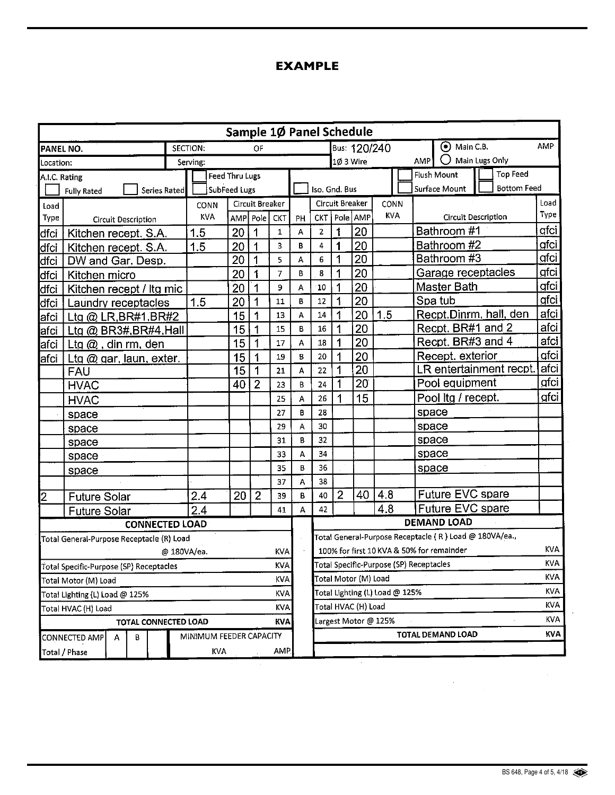## **EXAMPLE**

|                                                       |                                           |  |                |                         |                                                                   |           |   | Sample 10 Panel Schedule |                                                 |                   |      |                                     |                 |              |  |
|-------------------------------------------------------|-------------------------------------------|--|----------------|-------------------------|-------------------------------------------------------------------|-----------|---|--------------------------|-------------------------------------------------|-------------------|------|-------------------------------------|-----------------|--------------|--|
| PANEL NO.                                             |                                           |  | SECTION:       |                         |                                                                   |           |   | Bus: 120/240             |                                                 | $\odot$ Main C.B. |      | AMP                                 |                 |              |  |
| Location:                                             |                                           |  | Serving:       |                         |                                                                   | 10 3 Wire |   |                          | <b>AMP</b>                                      | Main Lugs Only    |      |                                     |                 |              |  |
| A.I.C. Rating                                         |                                           |  | Feed Thru Lugs |                         |                                                                   |           |   |                          |                                                 |                   |      | Flush Mount                         | <b>Top Feed</b> |              |  |
| Series Rated<br><b>Fully Rated</b>                    |                                           |  | SubFeed Lugs   |                         |                                                                   |           |   |                          | Iso. Gnd. Bus                                   |                   |      | <b>Bottom Feed</b><br>Surface Mount |                 |              |  |
| Load                                                  |                                           |  |                | Circuit Breaker<br>CONN |                                                                   |           |   |                          | <b>Circuit Breaker</b>                          |                   | CONN |                                     |                 | Load<br>Туре |  |
| Type                                                  | <b>Circuit Description</b>                |  |                |                         | KVA<br>  Pole   AMP<br>AMP Pole<br><b>CKT</b><br><b>CKT</b><br>PH |           |   |                          | Circuit Description                             |                   |      |                                     |                 |              |  |
| dfci                                                  | Kitchen recept. S.A.                      |  |                | 20                      | 1                                                                 | 1         | A | $\overline{2}$           | 1                                               | 20                |      | Bathroom #1                         |                 | gfci         |  |
| dfci                                                  | Kitchen recept. S.A.                      |  | 1.5            | 20                      | 1                                                                 | 3         | B | $\overline{4}$           | 1                                               | 20                |      | Bathroom #2                         |                 | qfci         |  |
| dfci                                                  | DW and Gar. Desp.                         |  |                | 20                      | 1                                                                 | 5         | А | 6                        | 1                                               | 20                |      | Bathroom #3                         |                 | <u>afci</u>  |  |
| dfci                                                  | Kitchen micro                             |  |                | 20                      | 1                                                                 | 7         | B | 8                        | 1                                               | 20                |      | Garage receptacles                  |                 | gfci         |  |
| dfci                                                  | Kitchen recept / Itg mic                  |  |                | 20                      | 1                                                                 | 9         | A | ${\bf 10}$               | 1                                               | 20                |      | Master Bath                         |                 | gfci         |  |
| dfci                                                  | Laundry receptacles                       |  |                | 20                      | 1                                                                 | 11        | B | 12                       | 1                                               | 20                |      | Spa tub                             |                 | gfci         |  |
| afci                                                  | Ltg @ LR, BR#1, BR#2                      |  |                | 15                      | 1                                                                 | 13        | A | 14                       |                                                 | 20                | 1.5  | Recpt.Dinrm, hall, den              |                 | afci         |  |
| lafci                                                 | Ltg @ BR3#, BR#4, Hall                    |  |                | 15                      | 1                                                                 | 15        | B | 16                       | 1                                               | 20                |      | Recpt. BR#1 and 2                   |                 | afci         |  |
| <b>a</b> fci                                          | Ltg $@$ , din rm, den                     |  |                | 15                      | 1                                                                 | 17        | A | 18                       | 1                                               | $\overline{20}$   |      | Recpt. BR#3 and 4                   |                 | afci         |  |
| afci                                                  | Ltg $@$ gar, laun, exter.                 |  |                | 15                      | 1                                                                 | 19        | B | 20                       |                                                 | 20                |      | Recept. exterior                    |                 | afci         |  |
| <b>FAU</b>                                            |                                           |  |                | 15                      | 1                                                                 | 21        | A | 22                       | 1                                               | 20                |      | LR entertainment recpt.             |                 | afci         |  |
| <b>HVAC</b>                                           |                                           |  |                | 40                      | $\overline{2}$                                                    | 23        | B | 24                       |                                                 | 20                |      | Pool equipment                      |                 | qfci         |  |
| <b>HVAC</b>                                           |                                           |  |                |                         |                                                                   | 25        | А | 26                       |                                                 | 15                |      | Pool Itg / recept.                  |                 | gfci         |  |
|                                                       | space                                     |  |                |                         |                                                                   | 27        | B | 28                       |                                                 |                   |      | space                               |                 |              |  |
| space                                                 |                                           |  |                |                         |                                                                   | 29        | A | 30                       |                                                 |                   |      | space                               |                 |              |  |
|                                                       | space                                     |  |                |                         |                                                                   | 31        | B | 32                       |                                                 |                   |      | space                               |                 |              |  |
|                                                       | space                                     |  |                |                         |                                                                   | 33        | A | 34                       |                                                 |                   |      | space                               |                 |              |  |
|                                                       | space                                     |  |                |                         |                                                                   | 35        | B | 36                       |                                                 |                   |      | space                               |                 |              |  |
|                                                       |                                           |  |                |                         |                                                                   | 37        | A | 38                       |                                                 |                   |      |                                     |                 |              |  |
| 2                                                     | <b>Future Solar</b>                       |  | 2.4            | 20                      | $\overline{2}$                                                    | 39        | B | 40                       | 2                                               | 40                | 4.8  | Future EVC spare                    |                 |              |  |
| 2.4<br>41<br><b>Future Solar</b>                      |                                           |  |                |                         |                                                                   |           | A | 42                       |                                                 |                   | 4.8  | Future EVC spare                    |                 |              |  |
|                                                       | <b>CONNECTED LOAD</b>                     |  |                |                         |                                                                   |           |   |                          | <b>DEMAND LOAD</b>                              |                   |      |                                     |                 |              |  |
|                                                       | Total General-Purpose Receptacle (R) Load |  |                |                         | Total General-Purpose Receptacle ( R ) Load @ 180VA/ea.,          |           |   |                          |                                                 |                   |      |                                     |                 |              |  |
|                                                       | @ 180VA/ea.                               |  |                | KVA                     | KVA.<br>100% for first 10 KVA & 50% for remainder                 |           |   |                          |                                                 |                   |      |                                     |                 |              |  |
| <b>KVA</b><br>Total Specific-Purpose (SP) Receptacles |                                           |  |                |                         |                                                                   |           |   |                          | KVA.<br>Total Specific-Purpose (SP) Receptacles |                   |      |                                     |                 |              |  |
| KVA<br>Total Motor (M) Load                           |                                           |  |                |                         |                                                                   |           |   |                          | <b>KVA</b><br>Total Motor (M) Load              |                   |      |                                     |                 |              |  |
| <b>KVA</b><br>Total Lighting (L) Load @ 125%          |                                           |  |                |                         |                                                                   |           |   |                          | <b>KVA</b><br>Total Lighting (L) Load @ 125%    |                   |      |                                     |                 |              |  |
| KVA<br>Total HVAC (H) Load                            |                                           |  |                |                         |                                                                   |           |   | Total HVAC (H) Load      |                                                 |                   |      |                                     |                 | <b>KVA</b>   |  |
| TOTAL CONNECTED LOAD<br>KVA                           |                                           |  |                |                         |                                                                   |           |   | Largest Motor @ 125%     |                                                 |                   |      |                                     |                 | KVA          |  |
| MINIMUM FEEDER CAPACITY<br>В<br>CONNECTED AMP<br>Α    |                                           |  |                |                         |                                                                   |           |   |                          |                                                 |                   |      | TOTAL DEMAND LOAD                   |                 | KVA.         |  |
| KVA<br>AMP.<br>Total / Phase                          |                                           |  |                |                         |                                                                   |           |   |                          |                                                 |                   |      |                                     |                 |              |  |